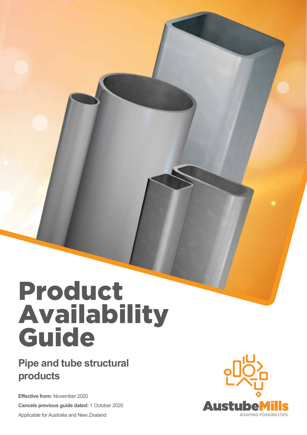### **Pipe and tube structural products**

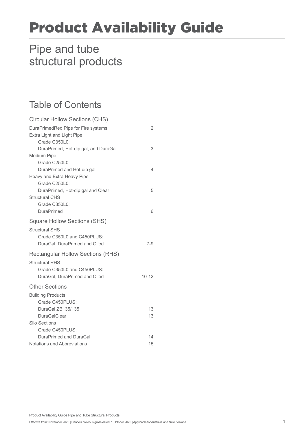### Pipe and tube structural products

### Table of Contents

| <b>Circular Hollow Sections (CHS)</b>                             |           |
|-------------------------------------------------------------------|-----------|
| DuraPrimedRed Pipe for Fire systems<br>Extra Light and Light Pipe | 2         |
| Grade C350L0:                                                     |           |
| DuraPrimed, Hot-dip gal, and DuraGal                              | 3         |
| <b>Medium Pipe</b>                                                |           |
| Grade C250L0:                                                     |           |
| DuraPrimed and Hot-dip gal                                        | 4         |
| Heavy and Extra Heavy Pipe                                        |           |
| Grade C250L0:                                                     |           |
| DuraPrimed, Hot-dip gal and Clear                                 | 5         |
| <b>Structural CHS</b>                                             |           |
| Grade C350L0:                                                     |           |
| <b>DuraPrimed</b>                                                 | 6         |
| <b>Square Hollow Sections (SHS)</b>                               |           |
| <b>Structural SHS</b>                                             |           |
| Grade C350L0 and C450PLUS:                                        |           |
| DuraGal, DuraPrimed and Oiled                                     | $7 - 9$   |
| <b>Rectangular Hollow Sections (RHS)</b>                          |           |
| <b>Structural RHS</b>                                             |           |
| Grade C350L0 and C450PLUS:                                        |           |
| DuraGal, DuraPrimed and Oiled                                     | $10 - 12$ |
| <b>Other Sections</b>                                             |           |
| <b>Building Products</b>                                          |           |
| Grade C450PLUS:                                                   |           |
| DuraGal ZB135/135                                                 | 13        |
| <b>DuraGalClear</b>                                               | 13        |
| Silo Sections                                                     |           |
| Grade C450PLUS:                                                   |           |
| DuraPrimed and DuraGal                                            | 14        |
| Notations and Abbreviations                                       | 15        |

Product Availability Guide Pipe and Tube Structural Products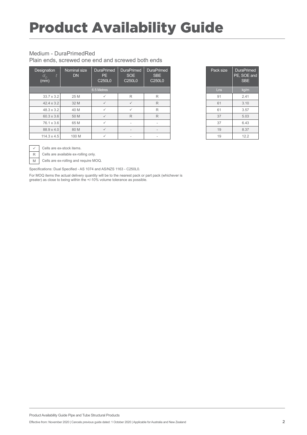#### Medium - DuraPrimedRed

Plain ends, screwed one end and screwed both ends

| Designation<br>$\overline{a}_o$<br>(mm) | Nominal size<br><b>DN</b> | <b>DuraPrimed</b><br>PE.<br>C <sub>250</sub> L <sub>0</sub> | <b>DuraPrimed</b><br>SOE<br>C <sub>250</sub> L <sub>0</sub> | <b>DuraPrimed</b><br>SBE<br>C <sub>250</sub> L <sub>0</sub> | Pack size  | <b>DuraPri</b><br>PE, SOE<br><b>SBE</b> |
|-----------------------------------------|---------------------------|-------------------------------------------------------------|-------------------------------------------------------------|-------------------------------------------------------------|------------|-----------------------------------------|
|                                         |                           | 6.5 Metres                                                  |                                                             |                                                             | <b>Lns</b> | kg/m                                    |
| $33.7 \times 3.2$                       | 25 M                      |                                                             | R                                                           | R                                                           | 91         | 2.41                                    |
| $42.4 \times 3.2$                       | 32 M                      | $\checkmark$                                                | $\checkmark$                                                | R                                                           | 61         | 3.10                                    |
| $48.3 \times 3.2$                       | 40 M                      | ✓                                                           | $\checkmark$                                                | R                                                           | 61         | 3.57                                    |
| 60.3 x 3.6                              | 50 M                      |                                                             | $\mathsf{R}$                                                | R                                                           | 37         | 5.03                                    |
| 76.1 x 3.6                              | 65 M                      | ✓                                                           | $\overline{\phantom{a}}$                                    |                                                             | 37         | 6.43                                    |
| 88.9 x 4.0                              | 80 M                      |                                                             | $\overline{\phantom{a}}$                                    |                                                             | 19         | 8.37                                    |
| $114.3 \times 4.5$                      | 100 M                     |                                                             |                                                             |                                                             | 19         | 12.2                                    |

| Pack size | <b>DuraPrimed</b><br>PE, SOE and<br><b>SBE</b> |
|-----------|------------------------------------------------|
| Lns       | kg/m                                           |
| 91        | 2.41                                           |
| 61        | 3.10                                           |
| 61        | 3.57                                           |
| 37        | 5.03                                           |
| 37        | 6.43                                           |
| 19        | 8.37                                           |
| 19        | 12.2                                           |

 $\checkmark$  Cells are ex-stock items.

 $R$  Cells are available ex-rolling only.

M Cells are ex-rolling and require MOQ.

Specifications: Dual Specified - AS 1074 and AS/NZS 1163 - C250L0.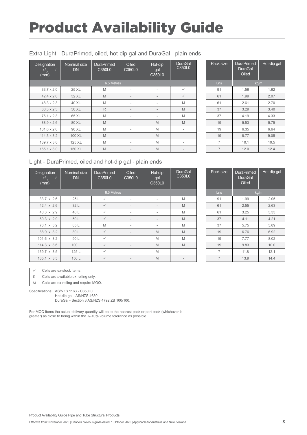#### Extra Light - DuraPrimed, oiled, hot-dip gal and DuraGal - plain ends

| Designation<br>t<br>$d_{\rho}$<br>(mm) | Nominal size<br><b>DN</b> | <b>DuraPrimed</b><br>C350L0 | Oiled<br>C350L0          | Hot-dip<br>gal<br>C350L0 | DuraGal<br>C350L0        | Pack size      | <b>DuraPrimed</b><br><b>DuraGal</b><br>Oiled | Hot-dip |
|----------------------------------------|---------------------------|-----------------------------|--------------------------|--------------------------|--------------------------|----------------|----------------------------------------------|---------|
|                                        |                           | 6.5 Metres                  |                          |                          |                          | Lns            |                                              | kg/m    |
| $33.7 \times 2.0$                      | 25 XL                     | M                           | $\overline{\phantom{a}}$ | $\overline{\phantom{a}}$ | $\checkmark$             | 91             | 1.56                                         | 1.62    |
| $42.4 \times 2.0$                      | 32 XL                     | M                           | $\overline{\phantom{a}}$ | $\overline{\phantom{a}}$ | $\checkmark$             | 61             | 1.99                                         | 2.07    |
| $48.3 \times 2.3$                      | 40 XL                     | M                           | $\overline{\phantom{a}}$ | $\overline{\phantom{a}}$ | M                        | 61             | 2.61                                         | 2.70    |
| $60.3 \times 2.3$                      | 50 XL                     | $\mathsf{R}$                | $\overline{\phantom{a}}$ | $\overline{\phantom{a}}$ | M                        | 37             | 3.29                                         | 3.40    |
| 76.1 x 2.3                             | 65 XL                     | M                           | $\overline{\phantom{a}}$ | $\overline{\phantom{a}}$ | M                        | 37             | 4.19                                         | 4.33    |
| 88.9 x 2.6                             | 80 XL                     | M                           | $\overline{\phantom{a}}$ | M                        | M                        | 19             | 5.53                                         | 5.75    |
| $101.6 \times 2.6$                     | 90 XL                     | M                           | $\overline{\phantom{a}}$ | M                        | $\overline{\phantom{a}}$ | 19             | 6.35                                         | 6.64    |
| $114.3 \times 3.2$                     | 100 XL                    | M                           | $\overline{\phantom{a}}$ | M                        | $\overline{\phantom{a}}$ | 19             | 8.77                                         | 9.05    |
| 139.7 x 3.0                            | 125 XL                    | M                           | $\overline{\phantom{a}}$ | M                        | $\overline{\phantom{a}}$ | $\overline{7}$ | 10.1                                         | 10.5    |
| $165.1 \times 3.0$                     | 150 XL                    | M                           | $\overline{\phantom{a}}$ | M                        | $\overline{\phantom{a}}$ | $\overline{7}$ | 12.0                                         | 12.4    |

| Pack size      | <b>DuraPrimed</b><br><b>DuraGal</b><br>Oiled | Hot-dip gal |
|----------------|----------------------------------------------|-------------|
| Lns            | kg/m                                         |             |
| 91             | 1.56                                         | 1.62        |
| 61             | 1.99                                         | 2.07        |
| 61             | 2.61                                         | 2.70        |
| 37             | 3.29                                         | 3.40        |
| 37             | 4.19                                         | 4.33        |
| 19             | 5.53                                         | 5.75        |
| 19             | 6.35                                         | 6.64        |
| 19             | 8.77                                         | 9.05        |
| 7              | 10.1                                         | 10.5        |
| $\overline{7}$ | 12.0                                         | 12.4        |

#### Light - DuraPrimed, oiled and hot-dip gal - plain ends

| Designation<br>t<br>$d_{\overline{O}}$<br>(mm) | Nominal size<br><b>DN</b> | <b>DuraPrimed</b><br>C350L0 | Oiled<br>C350L0          | Hot-dip<br>gal<br>C350L0 | <b>DuraGal</b><br>C350L0 | Pack size      | <b>DuraPrimed</b><br><b>DuraGal</b><br>Oiled | Hot-dip |
|------------------------------------------------|---------------------------|-----------------------------|--------------------------|--------------------------|--------------------------|----------------|----------------------------------------------|---------|
|                                                |                           | 6.5 Metres                  |                          |                          |                          | <b>Lns</b>     |                                              | kg/m    |
| 33.7 x 2.6                                     | 25 L                      | $\checkmark$                | $\overline{\phantom{a}}$ |                          | M                        | 91             | 1.99                                         | 2.05    |
| $42.4 \times 2.6$                              | 32 L                      | $\checkmark$                | $\overline{\phantom{a}}$ | $\overline{\phantom{a}}$ | M                        | 61             | 2.55                                         | 2.63    |
| 48.3 x 2.9                                     | 40 L                      | $\checkmark$                | $\overline{\phantom{a}}$ | $\overline{\phantom{a}}$ | M                        | 61             | 3.25                                         | 3.33    |
| 60.3 x 2.9                                     | 50 L                      | $\checkmark$                | $\qquad \qquad$          | $\overline{\phantom{a}}$ | M                        | 37             | 4.11                                         | 4.21    |
| 76.1 x 3.2                                     | 65 L                      | M                           | $\overline{\phantom{a}}$ | $\overline{\phantom{a}}$ | M                        | 37             | 5.75                                         | 5.89    |
| 88.9 x 3.2                                     | 80 L                      | $\checkmark$                | $\overline{\phantom{a}}$ | M                        | M                        | 19             | 6.76                                         | 6.92    |
| $101.6 \times 3.2$                             | 90 L                      | $\checkmark$                | $\overline{\phantom{a}}$ | M                        | M                        | 19             | 7.77                                         | 8.02    |
| $114.3 \times 3.6$                             | 100L                      | $\checkmark$                | $\overline{\phantom{a}}$ | M                        | M                        | 19             | 9.83                                         | 10.0    |
| 139.7 x 3.5                                    | 125L                      | $\checkmark$                | $\overline{\phantom{a}}$ | M                        | $\overline{\phantom{a}}$ | $\overline{7}$ | 11.8                                         | 12.1    |
| 165.1 x 3.5                                    | 150L                      | $\checkmark$                | $\overline{\phantom{a}}$ | M                        | $\overline{\phantom{a}}$ | $\overline{7}$ | 13.9                                         | 14.4    |

| Pack size      | <b>DuraPrimed</b><br><b>DuraGal</b><br>Oiled | Hot-dip gal |
|----------------|----------------------------------------------|-------------|
| Lns            | kg/m                                         |             |
| 91             | 1.99                                         | 2.05        |
| 61             | 2.55                                         | 2.63        |
| 61             | 3.25                                         | 3.33        |
| 37             | 4.11                                         | 4.21        |
| 37             | 5.75                                         | 5.89        |
| 19             | 6.76                                         | 6.92        |
| 19             | 7.77                                         | 8.02        |
| 19             | 9.83                                         | 10.0        |
| 7              | 11.8                                         | 12.1        |
| $\overline{7}$ | 13.9                                         | 14.4        |

 $\checkmark$  Cells are ex-stock items.

R Cells are available ex-rolling only.

M Cells are ex-rolling and require MOQ.

Specifications: AS/NZS 1163 - C350L0.

Hot-dip gal - AS/NZS 4680. DuraGal - Section 3 AS/NZS 4792 ZB 100/100.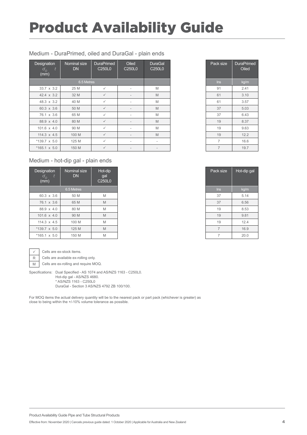#### Medium - DuraPrimed, oiled and DuraGal - plain ends

| Designation<br>$d_{\overline{O}}$<br>(mm) | Nominal size<br><b>DN</b> | <b>DuraPrimed</b><br>C250L0 | Oiled<br>C <sub>250</sub> L <sub>0</sub> | <b>DuraGal</b><br>C250L0 | Pack size      | <b>DuraPrin</b><br>Oileo |
|-------------------------------------------|---------------------------|-----------------------------|------------------------------------------|--------------------------|----------------|--------------------------|
|                                           | 6.5 Metres                |                             |                                          |                          | $\ln s$        | kg/m                     |
| 33.7 x 3.2                                | 25 M                      | $\checkmark$                | $\overline{\phantom{a}}$                 | M                        | 91             | 2.41                     |
| $42.4 \times 3.2$                         | 32 M                      | $\checkmark$                | $\qquad \qquad =$                        | M                        | 61             | 3.10                     |
| 48.3 x 3.2                                | 40 M                      | $\checkmark$                | $\overline{\phantom{a}}$                 | M                        | 61             | 3.57                     |
| 60.3 x 3.6                                | 50 M                      | $\checkmark$                | $\qquad \qquad =$                        | M                        | 37             | 5.03                     |
| 76.1 x 3.6                                | 65 M                      | $\checkmark$                | $\overline{\phantom{a}}$                 | M                        | 37             | 6.43                     |
| 88.9 x 4.0                                | 80 M                      | $\checkmark$                | $\overline{\phantom{a}}$                 | M                        | 19             | 8.37                     |
| 101.6 x 4.0                               | 90 M                      | $\checkmark$                | $\overline{\phantom{a}}$                 | M                        | 19             | 9.63                     |
| 114.3 x 4.5                               | 100 M                     | $\checkmark$                | $\overline{\phantom{a}}$                 | M                        | 19             | 12.2                     |
| *139.7 x 5.0                              | 125 M                     | $\checkmark$                | $\overline{\phantom{a}}$                 | $\overline{\phantom{a}}$ | $\overline{7}$ | 16.6                     |
| $*165.1 \times 5.0$                       | 150 M                     | $\checkmark$                | $\qquad \qquad =$                        |                          | $\overline{7}$ | 19.7                     |

#### Medium - hot-dip gal - plain ends

| Designation<br>$d$ <sub>0</sub><br>(mm) | Nominal size<br><b>DN</b> | Hot-dip<br>gal<br>C250L0 |
|-----------------------------------------|---------------------------|--------------------------|
|                                         | 6.5 Metres                |                          |
| 60.3 x 3.6                              | 50 M                      | M                        |
| 76.1 x 3.6                              | 65 M                      | M                        |
| 88.9 x 4.0                              | 80 M                      | M                        |
| 101.6 x 4.0                             | 90 M                      | M                        |
| 114.3 $\times$ 4.5                      | 100 M                     | M                        |
| $*139.7 \times 5.0$                     | 125 M                     | M                        |
| $*165.1 \times 5.0$                     | 150 M                     | M                        |



 $\checkmark$  Cells are ex-stock items.

R Cells are available ex-rolling only. M Cells are ex-rolling and require MOQ.

Specifications: Dual Specified - AS 1074 and AS/NZS 1163 - C250L0. Hot-dip gal - AS/NZS 4680. \* AS/NZS 1163 - C250L0

DuraGal - Section 3 AS/NZS 4792 ZB 100/100.

For MOQ items the actual delivery quantity will be to the nearest pack or part pack (whichever is greater) as close to being within the +/-10% volume tolerance as possible.

| Pack size      | <b>DuraPrimed</b><br>Oiled |
|----------------|----------------------------|
| Ins            | kg/m                       |
| 91             | 2.41                       |
| 61             | 3.10                       |
| 61             | 3.57                       |
| 37             | 5.03                       |
| 37             | 6.43                       |
| 19             | 8.37                       |
| 19             | 9.63                       |
| 19             | 12.2                       |
| 7              | 16.6                       |
| $\overline{7}$ | 19.7                       |

| Pack size | Hot-dip gal |
|-----------|-------------|
| Ins       | kg/m        |
| 37        | 5.14        |
| 37        | 6.56        |
| 19        | 8.53        |
| 19        | 9.81        |
| 19        | 12.4        |
| 7         | 16.9        |
| 7         | 20.0        |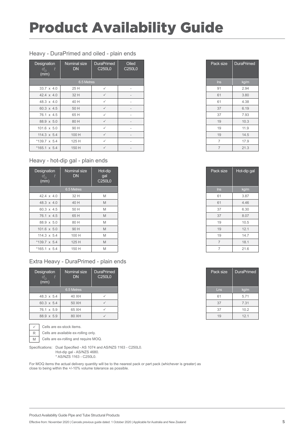#### Heavy - DuraPrimed and oiled - plain ends

| Designation<br>$d_{\overline{O}}$<br>t<br>(mm) | Nominal size<br><b>DN</b> | <b>DuraPrimed</b><br>C250L0 | Oiled<br>C250L0          |
|------------------------------------------------|---------------------------|-----------------------------|--------------------------|
|                                                | 6.5 Metres                |                             |                          |
| 33.7 x 4.0                                     | 25 H                      | $\checkmark$                | $\overline{\phantom{a}}$ |
| 42.4 x 4.0                                     | 32 H                      | $\checkmark$                | $\overline{\phantom{a}}$ |
| 48.3 x 4.0                                     | 40 H                      | $\checkmark$                | $\overline{\phantom{a}}$ |
| 60.3 x 4.5                                     | 50 H                      | $\checkmark$                | $\overline{\phantom{a}}$ |
| 76.1 x 4.5                                     | 65 H                      | $\checkmark$                | $\overline{\phantom{a}}$ |
| 88.9 x 5.0                                     | 80 H                      | $\checkmark$                | $\overline{\phantom{a}}$ |
| 101.6 x 5.0                                    | 90 H                      | $\checkmark$                | $\overline{\phantom{a}}$ |
| 114.3 x 5.4                                    | 100 H                     | $\checkmark$                | $\overline{\phantom{a}}$ |
| $*139.7 \times 5.4$                            | 125 H                     | $\checkmark$                | $\overline{\phantom{a}}$ |
| $*165.1 \times 5.4$                            | 150 H                     | $\checkmark$                | $\overline{\phantom{a}}$ |

#### Heavy - hot-dip gal - plain ends

| Designation<br>$d_{\overline{O}}$<br>(mm) | Nominal size<br><b>DN</b> | Hot-dip<br>gal<br>C250L0 |
|-------------------------------------------|---------------------------|--------------------------|
|                                           | 6.5 Metres                |                          |
| 42.4 $\times$ 4.0                         | 32 H                      | M                        |
| 48.3 x 4.0                                | 40 H                      | M                        |
| 60.3 x 4.5                                | 50 H                      | M                        |
| 76.1 x 4.5                                | 65 H                      | M                        |
| 88.9 x 5.0                                | 80 H                      | M                        |
| 101.6 x 5.0                               | 90 H                      | M                        |
| $114.3 \times 5.4$                        | 100 H                     | M                        |
| $*139.7 \times 5.4$                       | 125 H                     | M                        |
| $*165.1 \times 5.4$                       | 150 H                     | M                        |

#### Extra Heavy - DuraPrimed - plain ends

| Designation<br>$\sigma$ <sub>O</sub><br>(mm) | Nominal size<br><b>DN</b> | DuraPrimed<br><b>C250L0</b> |
|----------------------------------------------|---------------------------|-----------------------------|
|                                              | 6.5 Metres                |                             |
| 48.3 x 5.4                                   | 40 XH                     |                             |
| 60.3 x 5.4                                   | 50 XH                     |                             |
| 76.1 x 5.9                                   | 65 XH                     |                             |
| 88.9 x 5.9                                   | 80 XH                     |                             |

 $\sqrt{\phantom{a}}$  Cells are ex-stock items.

R Cells are available ex-rolling only.

M Cells are ex-rolling and require MOQ.

Specifications: Dual Specified - AS 1074 and AS/NZS 1163 - C250L0. Hot-dip gal - AS/NZS 4680. \* AS/NZS 1163 - C250L0.

| Pack size | <b>DuraPrimed</b> |
|-----------|-------------------|
| Ins       | kg/m              |
| 91        | 2.94              |
| 61        | 3.80              |
| 61        | 4.38              |
| 37        | 6.19              |
| 37        | 7.93              |
| 19        | 10.3              |
| 19        | 11.9              |
| 19        | 14.5              |
| 7         | 17.9              |
| 7         | 21.3              |

| Pack size      | Hot-dip gal |
|----------------|-------------|
| Ins            | kg/m        |
| 61             | 3.87        |
| 61             | 4.46        |
| 37             | 6.30        |
| 37             | 8.07        |
| 19             | 10.5        |
| 19             | 12.1        |
| 19             | 14.7        |
| $\overline{7}$ | 18.1        |
| 7              | 21.6        |

| Pack size | <b>DuraPrimed</b> |  |  |  |
|-----------|-------------------|--|--|--|
| Lns       | kg/m              |  |  |  |
| 61        | 5.71              |  |  |  |
| 37        | 7.31              |  |  |  |
| 37        | 10.2              |  |  |  |
| 19        | 12.1              |  |  |  |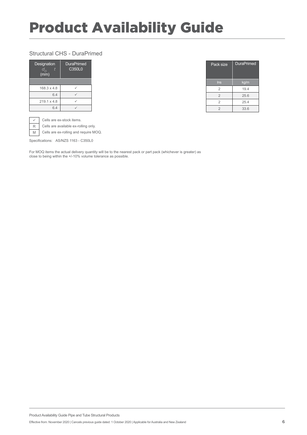#### Structural CHS - DuraPrimed

| Designation<br>t<br>d <sub>o</sub><br>(mm) | <b>DuraPrimed</b><br>C350L0 |
|--------------------------------------------|-----------------------------|
|                                            |                             |
| $168.3 \times 4.8$                         |                             |
| 6.4                                        |                             |
| $219.1 \times 4.8$                         |                             |
| 64                                         |                             |

| Pack size      | <b>DuraPrimed</b> |  |  |
|----------------|-------------------|--|--|
| Ins            | kg/m              |  |  |
| $\overline{2}$ | 19.4              |  |  |
| $\overline{2}$ | 25.6              |  |  |
| 2              | 25.4              |  |  |
| $\overline{2}$ | 33.6              |  |  |

| $\checkmark$ Cells are ex-stock items. |
|----------------------------------------|
| R Cells are available ex-rolling only. |

M Cells are ex-rolling and require MOQ.

Specifications: AS/NZS 1163 - C350L0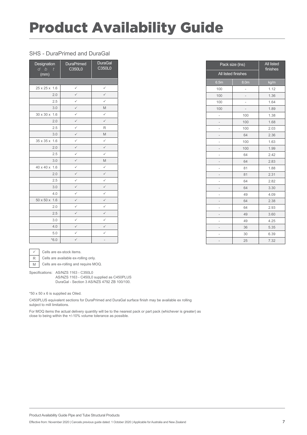#### SHS - DuraPrimed and DuraGal

| Designation<br>d b<br>t<br>(mm) | <b>DuraPrimed</b><br>C350L0 | <b>DuraGal</b><br>C350L0 |
|---------------------------------|-----------------------------|--------------------------|
|                                 |                             |                          |
| 25 x 25 x 1.6                   | $\checkmark$                | $\checkmark$             |
| 2.0                             | $\checkmark$                | $\checkmark$             |
| 2.5                             | $\checkmark$                | $\checkmark$             |
| 3.0                             | $\checkmark$                | M                        |
| 30 x 30 x<br>1.6                | $\checkmark$                | $\checkmark$             |
| 2.0                             | $\checkmark$                | $\checkmark$             |
| 2.5                             | $\checkmark$                | R                        |
| 3.0                             | $\checkmark$                | M                        |
| 35 x 35 x<br>1.6                | $\checkmark$                | $\checkmark$             |
| 2.0                             | $\checkmark$                | $\checkmark$             |
| 2.5                             | $\checkmark$                | $\checkmark$             |
| 3.0                             | $\checkmark$                | M                        |
| 40 x 40 x<br>1.6                | $\checkmark$                | $\checkmark$             |
| 2.0                             | $\checkmark$                | $\checkmark$             |
| 2.5                             | $\checkmark$                | $\checkmark$             |
| 3.0                             | $\checkmark$                | $\checkmark$             |
| 4.0                             | $\checkmark$                | ✓                        |
| 1.6<br>50 x 50 x                | $\checkmark$                | $\checkmark$             |
| 2.0                             | $\checkmark$                | $\checkmark$             |
| 2.5                             | $\checkmark$                | $\checkmark$             |
| 3.0                             | $\checkmark$                | $\checkmark$             |
| 4.0                             | $\checkmark$                | $\checkmark$             |
| 5.0                             | $\checkmark$                | $\checkmark$             |
| $*6.0$                          | $\checkmark$                | -                        |

| Pack size (Ins)          | <b>All listed</b><br>finishes |      |  |
|--------------------------|-------------------------------|------|--|
| All listed finishes      |                               |      |  |
| 6.5m                     | 8.0 <sub>m</sub>              | kg/m |  |
| 100                      | -                             | 1.12 |  |
| 100                      | -                             | 1.36 |  |
| 100                      |                               | 1.64 |  |
| 100                      |                               | 1.89 |  |
| -                        | 100                           | 1.38 |  |
|                          | 100                           | 1.68 |  |
|                          | 100                           | 2.03 |  |
|                          | 64                            | 2.36 |  |
|                          | 100                           | 1.63 |  |
|                          | 100                           | 1.99 |  |
| -                        | 64                            | 2.42 |  |
|                          | 64                            | 2.83 |  |
|                          | 81                            | 1.88 |  |
|                          | 81                            | 2.31 |  |
|                          | 64                            | 2.82 |  |
|                          | 64                            | 3.30 |  |
|                          | 49                            | 4.09 |  |
| $\overline{\phantom{0}}$ | 64                            | 2.38 |  |
| L                        | 64                            | 2.93 |  |
|                          | 49                            | 3.60 |  |
|                          | 49                            | 4.25 |  |
| ÷                        | 36                            | 5.35 |  |
|                          | 30                            | 6.39 |  |
| -                        | 25                            | 7.32 |  |



 $\checkmark$  Cells are ex-stock items.

R Cells are available ex-rolling only.

M Cells are ex-rolling and require MOQ.

Specifications: AS/NZS 1163 - C350L0 AS/NZS 1163 - C450L0 supplied as C450PLUS DuraGal - Section 3 AS/NZS 4792 ZB 100/100.

\*50 x 50 x 6 is supplied as Oiled.

C450PLUS equivalent sections for DuraPrimed and DuraGal surface finish may be available ex rolling subject to mill limitations.

For MOQ items the actual delivery quantity will be to the nearest pack or part pack (whichever is greater) as close to being within the +/-10% volume tolerance as possible.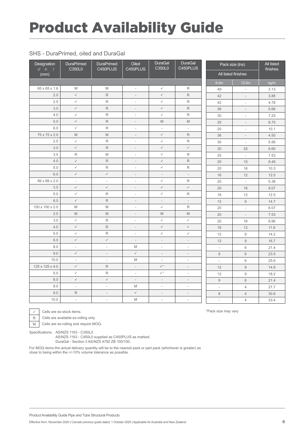#### SHS - DuraPrimed, oiled and DuraGal

| Designation<br>$d$ $b$<br>$\boldsymbol{t}$ | DuraPrimed<br>C350L0                                                                                       | <b>DuraPrimed</b><br>C450PLUS                                                                              | Oiled<br>C450PLUS        | <b>DuraGal</b><br>C350L0                                                                                   | DuraGal<br>C450PLUS      | Pack size (Ins)          |                          | <b>All listed</b><br>finishes |
|--------------------------------------------|------------------------------------------------------------------------------------------------------------|------------------------------------------------------------------------------------------------------------|--------------------------|------------------------------------------------------------------------------------------------------------|--------------------------|--------------------------|--------------------------|-------------------------------|
| (mm)                                       |                                                                                                            |                                                                                                            |                          |                                                                                                            |                          |                          | All listed finishes      |                               |
|                                            |                                                                                                            |                                                                                                            |                          |                                                                                                            |                          | 8.0m                     | 12.0m                    | kg/m                          |
| 65 x 65 x 1.6                              | M                                                                                                          | M                                                                                                          | $\overline{\phantom{a}}$ | $\checkmark$                                                                                               | $\mathsf R$              | 49                       | $\overline{\phantom{a}}$ | 3.13                          |
| 2.0                                        | $\checkmark$                                                                                               | R                                                                                                          | $\overline{\phantom{a}}$ | $\checkmark$                                                                                               | $\mathsf R$              | 42                       | $\overline{\phantom{a}}$ | 3.88                          |
| 2.5                                        | $\checkmark$                                                                                               | R                                                                                                          | $\overline{\phantom{a}}$ | $\checkmark$                                                                                               | $\mathsf R$              | 42                       | $\overline{\phantom{a}}$ | 4.78                          |
| 3.0                                        | $\checkmark$                                                                                               | R                                                                                                          | $\overline{\phantom{a}}$ | $\checkmark$                                                                                               | $\mathsf R$              | 36                       | $\overline{\phantom{a}}$ | 5.66                          |
| 4.0                                        | $\checkmark$                                                                                               | R                                                                                                          | $\overline{\phantom{a}}$ | $\checkmark$                                                                                               | $\mathsf R$              | 30                       | $\overline{\phantom{a}}$ | 7.25                          |
| 5.0                                        | $\checkmark$                                                                                               | R                                                                                                          | $\overline{\phantom{a}}$ | $\mathbb M$                                                                                                | M                        | 25                       | $\overline{\phantom{a}}$ | 8.75                          |
| 6.0                                        | $\checkmark$                                                                                               | R                                                                                                          | $\overline{\phantom{a}}$ | $\overline{\phantom{a}}$                                                                                   | $\overline{\phantom{a}}$ | 20                       | $\overline{\phantom{a}}$ | 10.1                          |
| 75 x 75 x 2.0                              | $\mathsf{M}% _{T}=\mathsf{M}_{T}\!\left( a,b\right) ,\ \mathsf{M}_{T}=\mathsf{M}_{T}\!\left( a,b\right) ,$ | M                                                                                                          | $\overline{\phantom{a}}$ | $\checkmark$                                                                                               | $\mathsf R$              | 36                       | $\overline{\phantom{a}}$ | 4.50                          |
| 2.5                                        | $\checkmark$                                                                                               | R                                                                                                          | $\overline{a}$           | $\checkmark$                                                                                               | $\mathsf R$              | 30                       | $\overline{\phantom{a}}$ | 5.56                          |
| 3.0                                        | $\checkmark$                                                                                               | R                                                                                                          | $\overline{\phantom{a}}$ | $\checkmark$                                                                                               | $\checkmark$             | 30                       | 25                       | 6.60                          |
| 3.5                                        | $\mathsf R$                                                                                                | M                                                                                                          | $\overline{\phantom{a}}$ | $\checkmark$                                                                                               | $\mathsf R$              | 25                       | $\overline{\phantom{a}}$ | 7.53                          |
| 4.0                                        | $\checkmark$                                                                                               | R                                                                                                          | $\overline{\phantom{a}}$ | $\checkmark$                                                                                               | $\mathsf R$              | 25                       | 15                       | 8.49                          |
| 5.0                                        | $\checkmark$                                                                                               | $\mathsf R$                                                                                                | $\overline{\phantom{a}}$ | $\checkmark$                                                                                               | $\mathsf R$              | 20                       | 16                       | 10.3                          |
| 6.0                                        | $\checkmark$                                                                                               | $\checkmark$                                                                                               | $\frac{1}{2}$            | $\overline{\phantom{a}}$                                                                                   | $\overline{\phantom{a}}$ | 16                       | 12                       | 12.0                          |
| 89 x 89 x 2.0                              | $\overline{\phantom{a}}$                                                                                   | $\overline{\phantom{a}}$                                                                                   | $\overline{\phantom{a}}$ | $\checkmark$                                                                                               | $\mathsf R$              | 20                       | $\overline{\phantom{a}}$ | 5.38                          |
| 3.5                                        | $\checkmark$                                                                                               | $\checkmark$                                                                                               | $\overline{\phantom{a}}$ | $\checkmark$                                                                                               | $\checkmark$             | 20                       | 16                       | 9.07                          |
| 5.0                                        | $\checkmark$                                                                                               | $\mathsf R$                                                                                                | $\overline{\phantom{a}}$ | $\checkmark$                                                                                               | $\mathsf R$              | 16                       | 12                       | 12.5                          |
| 6.0                                        | $\checkmark$                                                                                               | R                                                                                                          | $\overline{\phantom{a}}$ | $\overline{\phantom{a}}$                                                                                   | $\overline{\phantom{a}}$ | 12                       | $\hbox{9}$               | 14.7                          |
| 100 x 100 x 2.0                            | M                                                                                                          | M                                                                                                          | $\overline{\phantom{a}}$ | $\checkmark$                                                                                               | $\mathsf R$              | 20                       | $\omega$                 | 6.07                          |
| 2.5                                        | $\mathsf{M}% _{T}=\mathsf{M}_{T}\!\left( a,b\right) ,\ \mathsf{M}_{T}=\mathsf{M}_{T}\!\left( a,b\right) ,$ | $\mathsf{M}% _{T}=\mathsf{M}_{T}\!\left( a,b\right) ,\ \mathsf{M}_{T}=\mathsf{M}_{T}\!\left( a,b\right) ,$ | $\overline{\phantom{a}}$ | $\mathsf{M}% _{T}=\mathsf{M}_{T}\!\left( a,b\right) ,\ \mathsf{M}_{T}=\mathsf{M}_{T}\!\left( a,b\right) ,$ | M                        | 20                       | $\overline{\phantom{a}}$ | 7.53                          |
| 3.0                                        | $\checkmark$                                                                                               | R.                                                                                                         | $\overline{\phantom{a}}$ | $\checkmark$                                                                                               | $\checkmark$             | 20                       | 16                       | 8.96                          |
| 4.0                                        | $\checkmark$                                                                                               | R                                                                                                          | $\overline{\phantom{a}}$ | $\checkmark$                                                                                               | $\checkmark$             | 16                       | 12                       | 11.6                          |
| 5.0                                        | $\checkmark$                                                                                               | R                                                                                                          | $\overline{\phantom{a}}$ | $\checkmark$                                                                                               | $\checkmark$             | 12                       | $\hbox{9}$               | 14.2                          |
| 6.0                                        | $\checkmark$                                                                                               | $\checkmark$                                                                                               | $\overline{\phantom{a}}$ | $\overline{\phantom{a}}$                                                                                   | $\overline{\phantom{a}}$ | 12                       | $\boldsymbol{9}$         | 16.7                          |
| 8.0                                        | $\overline{\phantom{a}}$                                                                                   | $\overline{\phantom{a}}$                                                                                   | M                        | $\overline{\phantom{a}}$                                                                                   | $\overline{\phantom{a}}$ | $\overline{\phantom{a}}$ | 6                        | 21.4                          |
| 9.0                                        | $\checkmark$                                                                                               | $\overline{\phantom{a}}$                                                                                   | $\checkmark$             | $\overline{\phantom{a}}$                                                                                   | $\overline{\phantom{a}}$ | $\mathsf{9}$             | $6\,$                    | 23.5                          |
| 10.0                                       | $\mathcal{L}$                                                                                              | $\overline{\phantom{a}}$                                                                                   | M                        | $\overline{\phantom{a}}$                                                                                   | $\overline{\phantom{a}}$ | $\overline{\phantom{a}}$ | 6                        | 25.6                          |
| 125 x 125 x 4.0                            | $\checkmark$                                                                                               | R                                                                                                          | $\overline{\phantom{a}}$ | $\checkmark^*$                                                                                             | $\overline{\phantom{a}}$ | 12                       | $\hbox{9}$               | 14.8                          |
| 5.0                                        | $\checkmark$                                                                                               | R                                                                                                          | $\overline{\phantom{a}}$ | $\checkmark^*$                                                                                             | $\overline{\phantom{a}}$ | 12                       | $\boldsymbol{9}$         | 18.2                          |
| 6.0                                        | $\checkmark$                                                                                               | $\checkmark$                                                                                               | $\frac{1}{2}$            | $\overline{\phantom{a}}$                                                                                   | $\overline{\phantom{a}}$ | $\overline{9}$           | $6\phantom{1}$           | 21.4                          |
| 8.0                                        | $\overline{\phantom{a}}$                                                                                   | $\overline{\phantom{a}}$                                                                                   | M                        | $\overline{\phantom{a}}$                                                                                   | $\overline{\phantom{a}}$ | $\overline{\phantom{a}}$ | $\overline{4}$           | 27.7                          |
| 9.0                                        | R                                                                                                          | $\overline{\phantom{a}}$                                                                                   | $\checkmark$             | $\overline{\phantom{a}}$                                                                                   | $\overline{\phantom{a}}$ | $\,8\,$                  | $\overline{4}$           | 30.6                          |
| 10.0                                       | $\overline{\phantom{a}}$                                                                                   | $\overline{\phantom{a}}$                                                                                   | M                        | $\overline{\phantom{a}}$                                                                                   | $\overline{\phantom{a}}$ | $\overline{\phantom{a}}$ | $\overline{4}$           | 33.4                          |

 $\checkmark$  Cells are ex-stock items.

R Cells are available ex-rolling only.

M Cells are ex-rolling and require MOQ.

Specifications: AS/NZS 1163 - C350L0

AS/NZS 1163 - C450L0 supplied as C450PLUS as marked. DuraGal - Section 3 AS/NZS 4792 ZB 100/100.

For MOQ items the actual delivery quantity will be to the nearest pack or part pack (whichever is greater) as close to being within the +/-10% volume tolerance as possible.

Product Availability Guide Pipe and Tube Structural Products

Effective from: November 2020 | Cancels previous guide dated: 1 October 2020 | Applicable for Australia and New Zealand

\*Pack size may vary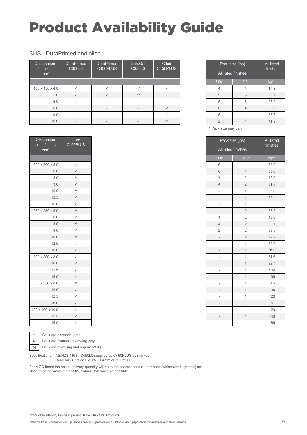#### SHS - DuraPrimed and oiled

| Designation<br>h<br>$\ddot{}$<br>'d<br>(mm) | <b>DuraPrimed</b><br>C350L0 | <b>DuraPrimed</b><br>C450PLUS | <b>DuraGal</b><br>C350L0 | Oiled<br>C450PLUS |
|---------------------------------------------|-----------------------------|-------------------------------|--------------------------|-------------------|
|                                             |                             |                               |                          |                   |
| 150 x 150 x 4.0                             |                             |                               | $\checkmark$             |                   |
| 5.0                                         |                             |                               | $\checkmark$             |                   |
| 6.0                                         |                             | ✓                             |                          |                   |
| 8.0                                         |                             |                               |                          | M                 |
| 9.0                                         | ✓                           | -                             | ۰                        |                   |
| 10.0                                        |                             |                               |                          | M                 |

| Designation<br>b<br>d<br>t<br>(mm) | Oiled<br>C450PLUS    |
|------------------------------------|----------------------|
|                                    |                      |
| 200 x 200 x 5.0                    | $\checkmark$         |
| 6.0                                | $\checkmark$         |
| 8.0                                | M                    |
| 9.0                                | ✓                    |
| 10.0                               | M                    |
| 12.5                               | $\checkmark$         |
| 16.0                               | ✓                    |
| 250 x 250 x 5.0                    | M                    |
| 6.0                                | $\checkmark$         |
| 8.0                                | M                    |
| 9.0                                | ✓                    |
| 10.0                               | M                    |
| 12.5                               | $\checkmark$         |
| 16.0                               | $\checkmark$         |
| 300 x 300 x 8.0                    | $\checkmark$         |
| 10.0                               | $\checkmark$         |
| 12.5                               | $\checkmark$         |
| 16.0                               | $\checkmark$         |
| 350 x 350 x 8.0                    | M                    |
| 10.0                               |                      |
| 12.5                               | ✓                    |
| 16.0                               | $\check{\checkmark}$ |
| 400 x 400 x 10.0                   | $\checkmark$         |
| 12.5                               | $\checkmark$         |
| 16.0                               |                      |



 $\checkmark$  Cells are ex-stock items.

 $R$  Cells are available ex-rolling only.

M Cells are ex-rolling and require MOQ.

Specifications: AS/NZS 1163 - C450L0 supplied as C450PLUS as marked. DuraGal - Section 3 AS/NZS 4792 ZB 100/100.

For MOQ items the actual delivery quantity will be to the nearest pack or part pack (whichever is greater) as close to being within the +/-10% volume tolerance as possible.

|                     | Pack size (Ins) |      |  |
|---------------------|-----------------|------|--|
| All listed finishes | finishes        |      |  |
| 8.0m                | 12.0m           | kg/m |  |
|                     |                 | 17.9 |  |
| 9                   | 6               | 22.1 |  |
| 6                   | 6               | 26.2 |  |
| 6                   |                 | 33.9 |  |
| 6                   |                 | 37.7 |  |
| 2                   |                 | 41.3 |  |

\* Pack size may vary

|                  | Pack size (Ins)     | <b>All listed</b><br>finishes |
|------------------|---------------------|-------------------------------|
|                  | All listed finishes |                               |
| 8.0 <sub>m</sub> | 12.0m               | kg/m                          |
| 6                | $\overline{4}$      | 29.9                          |
| 6                | $\overline{4}$      | 35.6                          |
| 4                | $\overline{2}$      | 46.5                          |
| $\overline{4}$   | $\overline{2}$      | 51.8                          |
| L                | $\overline{1}$      | 57.0                          |
|                  | $\overline{1}$      | 69.4                          |
|                  | $\overline{1}$      | 85.5                          |
| -                | $\overline{c}$      | 37.8                          |
| 4                | $\overline{2}$      | 45.0                          |
| $\overline{4}$   | $\overline{2}$      | 59.1                          |
| $\overline{2}$   | $\overline{2}$      | 65.9                          |
| -                | $\overline{2}$      | 72.7                          |
|                  | $\overline{1}$      | 89.0                          |
|                  | $\overline{1}$      | 111                           |
| L                | $\overline{1}$      | 71.6                          |
|                  | $\overline{1}$      | 88.4                          |
|                  | $\overline{1}$      | 109                           |
|                  | $\overline{1}$      | 136                           |
|                  | $\overline{1}$      | 84.2                          |
|                  | $\overline{1}$      | 104                           |
|                  | $\overline{1}$      | 128                           |
| -                | $\overline{1}$      | 161                           |
|                  | $\overline{1}$      | 120                           |
|                  | $\overline{1}$      | 148                           |
| $\overline{a}$   | $\overline{1}$      | 186                           |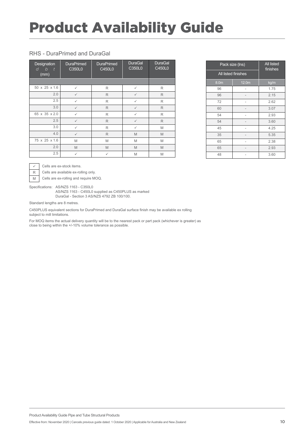#### RHS - DuraPrimed and DuraGal

| Designation<br>$\mathcal{b}$<br>d<br>$\frac{1}{\sqrt{2}}$<br>(mm) | <b>DuraPrimed</b><br>C350L0 | <b>DuraPrimed</b><br>C450L0 | <b>DuraGal</b><br>C350L0 | <b>DuraGal</b><br>C450L0 |
|-------------------------------------------------------------------|-----------------------------|-----------------------------|--------------------------|--------------------------|
|                                                                   |                             |                             |                          |                          |
| 50 x 25 x 1.6                                                     | ✓                           | R                           | $\checkmark$             | R                        |
| 2.0                                                               | $\checkmark$                | R                           | $\checkmark$             | R                        |
| 2.5                                                               | ✓                           | R                           | $\checkmark$             | R                        |
| 3.0                                                               | $\checkmark$                | R                           | $\checkmark$             | R                        |
| 65 x 35 x 2.0                                                     | ✓                           | R                           | $\checkmark$             | R                        |
| 2.5                                                               | $\checkmark$                | R                           | $\checkmark$             | R                        |
| 3.0                                                               | ✓                           | R                           | $\checkmark$             | M                        |
| 4.0                                                               | $\checkmark$                | R                           | M                        | M                        |
| 75 x 25 x 1.6                                                     | M                           | M                           | M                        | M                        |
| 2.0                                                               | M                           | M                           | M                        | M                        |
| 2.5                                                               | ✓                           | $\checkmark$                | M                        | M                        |

|      | Pack size (Ins)     | <b>All listed</b><br>finishes |
|------|---------------------|-------------------------------|
|      | All listed finishes |                               |
| 8.0m | 12.0m               | kg/m                          |
| 96   |                     | 1.75                          |
| 96   |                     | 2.15                          |
| 72   |                     | 2.62                          |
| 60   |                     | 3.07                          |
| 54   |                     | 2.93                          |
| 54   |                     | 3.60                          |
| 45   |                     | 4.25                          |
| 35   |                     | 5.35                          |
| 65   |                     | 2.38                          |
| 65   |                     | 2.93                          |
| 48   |                     | 3.60                          |

 $\sqrt{\phantom{a}}$  Cells are ex-stock items.

R Cells are available ex-rolling only.

 $\overline{M}$  Cells are ex-rolling and require MOQ.

Specifications: AS/NZS 1163 - C350L0

AS/NZS 1163 - C450L0 supplied as C450PLUS as marked DuraGal - Section 3 AS/NZS 4792 ZB 100/100.

Standard lengths are 8 metres.

C450PLUS equivalent sections for DuraPrimed and DuraGal surface finish may be available ex rolling subject to mill limitations.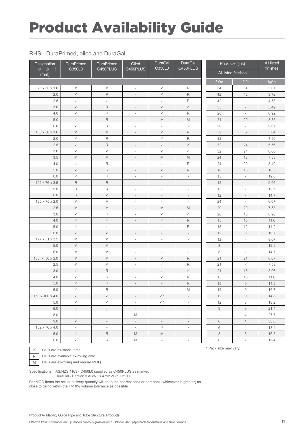#### RHS - DuraPrimed, oiled and DuraGal

| Designation           | DuraPrimed                                                                                                 | DuraPrimed                                                                                                 | Oiled                    | <b>DuraGal</b><br>C350L0                                                                                   | <b>DuraGal</b><br>C450PLUS                                                                                 |         | Pack size (Ins)          | All listed<br>finishes |
|-----------------------|------------------------------------------------------------------------------------------------------------|------------------------------------------------------------------------------------------------------------|--------------------------|------------------------------------------------------------------------------------------------------------|------------------------------------------------------------------------------------------------------------|---------|--------------------------|------------------------|
| $d$ $b$<br>t.<br>(mm) | C350L0                                                                                                     | C450PLUS                                                                                                   | C450PLUS                 |                                                                                                            |                                                                                                            |         | All listed finishes      |                        |
|                       |                                                                                                            |                                                                                                            |                          |                                                                                                            |                                                                                                            | 8.0m    | 12.0m                    | kg/m                   |
| 75 x 50 x 1.6         | M                                                                                                          | M                                                                                                          | $\overline{\phantom{a}}$ | $\checkmark$                                                                                               | R                                                                                                          | 54      | 54                       | 3.01                   |
| 2.0                   | $\checkmark$                                                                                               | R                                                                                                          | $\overline{\phantom{a}}$ | $\checkmark$                                                                                               | $\mathsf R$                                                                                                | 42      | 42                       | 3.72                   |
| 2.5                   | $\checkmark$                                                                                               | $\checkmark$                                                                                               | $\overline{\phantom{a}}$ | $\checkmark$                                                                                               | R                                                                                                          | 42      | $\overline{\phantom{a}}$ | 4.58                   |
| 3.0                   | $\checkmark$                                                                                               | $\mathsf R$                                                                                                | $\overline{\phantom{a}}$ | $\checkmark$                                                                                               | $\checkmark$                                                                                               | 35      | $\overline{\phantom{a}}$ | 5.42                   |
| 4.0                   | $\checkmark$                                                                                               | $\mathsf{R}% _{\mathbb{R}}^{1}\left( \mathbb{R}^{\otimes n}\right)$                                        | $\overline{\phantom{a}}$ | $\checkmark$                                                                                               | R                                                                                                          | 28      | $\overline{\phantom{a}}$ | 6.92                   |
| 5.0                   | $\checkmark$                                                                                               | $\mathsf R$                                                                                                | $\overline{\phantom{a}}$ | $\mathsf{M}% _{T}=\mathsf{M}_{T}\!\left( a,b\right) ,\ \mathsf{M}_{T}=\mathsf{M}_{T}\!\left( a,b\right) ,$ | $\mathsf{M}% _{T}=\mathsf{M}_{T}\!\left( a,b\right) ,\ \mathsf{M}_{T}=\mathsf{M}_{T}\!\left( a,b\right) ,$ | 24      | 20                       | 8.35                   |
| 6.0                   | $\checkmark$                                                                                               | R                                                                                                          | $\overline{\phantom{a}}$ | $\overline{\phantom{a}}$                                                                                   | $\overline{\phantom{a}}$                                                                                   | 20      | $\overline{\phantom{a}}$ | 9.67                   |
| 100 x 50 x 1.6        | $\mathsf{M}% _{T}=\mathsf{M}_{T}\!\left( a,b\right) ,\ \mathsf{M}_{T}=\mathsf{M}_{T}\!\left( a,b\right) ,$ | $\mathsf{M}% _{T}=\mathsf{M}_{T}\!\left( a,b\right) ,\ \mathsf{M}_{T}=\mathsf{M}_{T}\!\left( a,b\right) ,$ | $\overline{\phantom{a}}$ | $\checkmark$                                                                                               | $\mathsf R$                                                                                                | 32      | 32                       | 3.64                   |
| 2.0                   | $\checkmark$                                                                                               | R                                                                                                          | $\overline{\phantom{a}}$ | $\checkmark$                                                                                               | R                                                                                                          | 32      | $\overline{\phantom{a}}$ | 4.50                   |
| 2.5                   | $\checkmark$                                                                                               | $\mathsf R$                                                                                                | $\overline{\phantom{a}}$ | $\checkmark$                                                                                               | $\checkmark$                                                                                               | 32      | 24                       | 5.56                   |
| 3.0                   | $\checkmark$                                                                                               | $\checkmark$                                                                                               | $\overline{\phantom{a}}$ | $\checkmark$                                                                                               | $\checkmark$                                                                                               | 32      | 24                       | 6.60                   |
| 3.5                   | $\mathsf{M}% _{T}=\mathsf{M}_{T}\!\left( a,b\right) ,\ \mathsf{M}_{T}=\mathsf{M}_{T}\!\left( a,b\right) ,$ | M                                                                                                          | $\overline{\phantom{a}}$ | M                                                                                                          | $\mathsf{M}% _{T}=\mathsf{M}_{T}\!\left( a,b\right) ,\ \mathsf{M}_{T}=\mathsf{M}_{T}\!\left( a,b\right) ,$ | 24      | 18                       | 7.53                   |
| 4.0                   | $\checkmark$                                                                                               | $\mathsf R$                                                                                                | $\overline{\phantom{a}}$ | $\checkmark$                                                                                               | R                                                                                                          | 24      | 20                       | 8.49                   |
| 5.0                   | $\checkmark$                                                                                               | $\mathsf R$                                                                                                | $\overline{\phantom{a}}$ | $\checkmark$                                                                                               | $\mathsf R$                                                                                                | 18      | 15                       | 10.3                   |
| 6.0                   | $\checkmark$                                                                                               | $\mathsf{R}% _{\mathbb{R}}^{1}\left( \mathbb{R}^{\otimes n}\right)$                                        | $\overline{\phantom{a}}$ | $\overline{\phantom{a}}$                                                                                   | $\overline{\phantom{a}}$                                                                                   | 15      | $\overline{\phantom{a}}$ | 12.0                   |
| 102 x 76 x 3.5        | $\mathsf{R}$                                                                                               | $\mathsf R$                                                                                                | $\overline{\phantom{a}}$ | $\overline{\phantom{a}}$                                                                                   | $\overline{\phantom{a}}$                                                                                   | 12      | $\overline{\phantom{a}}$ | 9.06                   |
| 5.0                   | $\mathsf R$                                                                                                | R                                                                                                          | $\overline{\phantom{a}}$ | $\overline{\phantom{a}}$                                                                                   | $\overline{\phantom{a}}$                                                                                   | 12      | $\overline{\phantom{a}}$ | 12.5                   |
| 6.0                   | $\mathsf R$                                                                                                | $\checkmark$                                                                                               | $\overline{\phantom{a}}$ | $\overline{\phantom{a}}$                                                                                   | $\overline{\phantom{a}}$                                                                                   | 12      | $\overline{\phantom{a}}$ | 14.7                   |
| 125 x 75 x 2.0        | M                                                                                                          | M                                                                                                          | $\overline{\phantom{a}}$ | $\overline{\phantom{a}}$                                                                                   | $\overline{\phantom{a}}$                                                                                   | 24      | $\overline{\phantom{a}}$ | 6.07                   |
| 2.5                   | $\mathsf{M}% _{T}=\mathsf{M}_{T}\!\left( a,b\right) ,\ \mathsf{M}_{T}=\mathsf{M}_{T}\!\left( a,b\right) ,$ | $\mathbb M$                                                                                                | $\overline{\phantom{a}}$ | $\mathsf{M}% _{T}=\mathsf{M}_{T}\!\left( a,b\right) ,\ \mathsf{M}_{T}=\mathsf{M}_{T}\!\left( a,b\right) ,$ | M                                                                                                          | 20      | 20                       | 7.53                   |
| 3.0                   | $\checkmark$                                                                                               | $\mathsf R$                                                                                                | $\overline{\phantom{a}}$ | $\checkmark$                                                                                               | $\checkmark$                                                                                               | 20      | 15                       | 8.96                   |
| 4.0                   | $\checkmark$                                                                                               | $\checkmark$                                                                                               | $\overline{\phantom{a}}$ | $\checkmark$                                                                                               | $\mathsf R$                                                                                                | 15      | 15                       | 11.6                   |
| 5.0                   | $\checkmark$                                                                                               | $\checkmark$                                                                                               | $\overline{\phantom{a}}$ | $\checkmark$                                                                                               | $\mathsf R$                                                                                                | 15      | 12                       | 14.2                   |
| 6.0                   | $\checkmark$                                                                                               | $\checkmark$                                                                                               | $\overline{\phantom{a}}$ | $\overline{\phantom{a}}$                                                                                   | $\overline{\phantom{a}}$                                                                                   | 12      | 6                        | 16.7                   |
| 127 x 51 x 3.5        | M                                                                                                          | M                                                                                                          | $\overline{\phantom{a}}$ | $\overline{\phantom{a}}$                                                                                   | $\overline{\phantom{a}}$                                                                                   | 12      | $\overline{\phantom{a}}$ | 9.07                   |
| 5.0                   | M                                                                                                          | M                                                                                                          | $\overline{\phantom{a}}$ | $\overline{\phantom{a}}$                                                                                   | $\overline{\phantom{a}}$                                                                                   | $\,8\,$ | $\overline{\phantom{a}}$ | 12.5                   |
| 6.0                   | M                                                                                                          | M                                                                                                          | $\overline{\phantom{a}}$ | $\overline{\phantom{a}}$                                                                                   | $\overline{\phantom{a}}$                                                                                   | $\,8\,$ | $\overline{\phantom{a}}$ | 14.7                   |
| 150 x 50 x 2.0        | M                                                                                                          | M                                                                                                          | $\overline{\phantom{a}}$ | $\checkmark$                                                                                               | $\mathsf R$                                                                                                | 21      | 21                       | 6.07                   |
| 2.5                   | M                                                                                                          | M                                                                                                          | $\overline{\phantom{a}}$ | $\checkmark$                                                                                               | R                                                                                                          | 21      | $\overline{\phantom{a}}$ | 7.53                   |
| 3.0                   | $\checkmark$                                                                                               | $\mathsf R$                                                                                                | $\overline{\phantom{a}}$ | $\checkmark$                                                                                               | $\checkmark$                                                                                               | 21      | 15                       | 8.96                   |
| 4.0                   | $\checkmark$                                                                                               | $\mathsf R$                                                                                                | $\overline{\phantom{a}}$ | $\checkmark$                                                                                               | R                                                                                                          | 15      | 15                       | 11.6                   |
| 5.0                   | $\checkmark$                                                                                               | $\mathsf{R}$                                                                                               | $\overline{\phantom{a}}$ | $\overline{\phantom{a}}$                                                                                   | $\mathsf R$                                                                                                | 15      | $\hbox{g}$               | 14.2                   |
| $6.0\,$               | $\checkmark$                                                                                               | R                                                                                                          | $\overline{\phantom{a}}$ | $\overline{\phantom{a}}$                                                                                   | M                                                                                                          | 15      | 9                        | 16.7                   |
| 150 x 100 x 4.0       | $\checkmark$                                                                                               | ✓                                                                                                          | $\overline{\phantom{a}}$ | $\checkmark^*$                                                                                             | $\overline{\phantom{a}}$                                                                                   | 12      | $\overline{9}$           | 14.8                   |
| 5.0                   | $\checkmark$                                                                                               | $\checkmark$                                                                                               | $\overline{\phantom{a}}$ | $\checkmark^*$                                                                                             | $\overline{\phantom{a}}$                                                                                   | 12      | 8                        | 18.2                   |
| 6.0                   | $\checkmark$                                                                                               | $\checkmark$                                                                                               | $\overline{\phantom{a}}$ | $\sim$                                                                                                     | $\overline{\phantom{a}}$                                                                                   | 9       | 6                        | 21.4                   |
| 8.0                   | $\overline{\phantom{a}}$                                                                                   | $\overline{\phantom{a}}$                                                                                   | M                        | $\overline{\phantom{a}}$                                                                                   | $\overline{\phantom{a}}$                                                                                   | $\Box$  | 4                        | 27.7                   |
| 9.0                   | $\checkmark$                                                                                               | $\overline{\phantom{a}}$                                                                                   | $\checkmark$             | $\overline{\phantom{a}}$                                                                                   | $\overline{\phantom{a}}$                                                                                   | 6       | $\overline{4}$           | 30.6                   |
| 152 x 76 x 4.0        | $\overline{\phantom{a}}$                                                                                   | $\overline{\phantom{a}}$                                                                                   | $\overline{\phantom{a}}$ | R                                                                                                          | $\overline{\phantom{a}}$                                                                                   | 6       | $\overline{4}$           | 13.4                   |
| 5.0                   | $\checkmark$                                                                                               | R                                                                                                          | M                        | M                                                                                                          | $\overline{\phantom{a}}$                                                                                   | $\,8\,$ | 8                        | 16.5                   |
| 6.0                   | $\checkmark$                                                                                               | R                                                                                                          | M                        | $\overline{\phantom{a}}$                                                                                   | $\overline{\phantom{a}}$                                                                                   | 8       | $\overline{\phantom{a}}$ | 19.4                   |

 $\overline{\smile}$  Cells are ex-stock items.

 $R$  Cells are available ex-rolling only.

M Cells are ex-rolling and require MOQ.

Specifications: AS/NZS 1163 - C450L0 supplied as C450PLUS as marked. DuraGal - Section 3 AS/NZS 4792 ZB 100/100.

For MOQ items the actual delivery quantity will be to the nearest pack or part pack (whichever is greater) as close to being within the +/-10% volume tolerance as possible.

\* Pack size may vary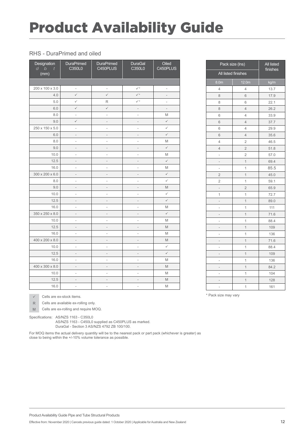#### RHS - DuraPrimed and oiled

| Designation<br>b<br>d<br>$\boldsymbol{t}$<br>(mm) | <b>DuraPrimed</b><br>C350L0 | <b>DuraPrimed</b><br>C450PLUS | DuraGal<br>C350L0        | Oiled<br>C450PLUS            |
|---------------------------------------------------|-----------------------------|-------------------------------|--------------------------|------------------------------|
|                                                   |                             |                               |                          |                              |
| 200 x 100 x 3.0                                   | $\overline{\phantom{a}}$    | $\qquad \qquad -$             | $\checkmark^*$           | $\qquad \qquad \blacksquare$ |
| 4.0                                               | $\checkmark$                | $\checkmark$                  | $\checkmark$             | $\overline{\phantom{m}}$     |
| 5.0                                               | $\checkmark$                | R                             | $\checkmark^*$           | $\overline{a}$               |
| 6.0                                               | $\checkmark$                | $\checkmark$                  | $\overline{\phantom{a}}$ | $\overline{\phantom{a}}$     |
| 8.0                                               | $\overline{\phantom{a}}$    | $\frac{1}{2}$                 | $\frac{1}{2}$            | M                            |
| 9.0                                               | $\checkmark$                | $\overline{a}$                | $\overline{\phantom{m}}$ | $\checkmark$                 |
| 250 x 150 x 5.0                                   | $\overline{\phantom{m}}$    | $\overline{a}$                | $\overline{a}$           | $\checkmark$                 |
| 6.0                                               | $\overline{\phantom{a}}$    | $\overline{a}$                | $\frac{1}{2}$            | $\checkmark$                 |
| 8.0                                               | $\frac{1}{2}$               | $\frac{1}{2}$                 | $\frac{1}{2}$            | M                            |
| 9.0                                               | $\overline{\phantom{m}}$    | $\overline{\phantom{0}}$      | $\overline{\phantom{a}}$ | $\checkmark$                 |
| 10.0                                              | $\overline{\phantom{a}}$    | $\overline{\phantom{0}}$      | $\overline{a}$           | M                            |
| 12.5                                              | $\overline{\phantom{m}}$    | $\overline{\phantom{m}}$      | $\overline{\phantom{m}}$ | $\checkmark$                 |
| 16.0                                              | $\overline{\phantom{a}}$    | $\frac{1}{2}$                 | $\frac{1}{2}$            | M                            |
| 300 x 200 x 6.0                                   | $\qquad \qquad -$           | $\overline{\phantom{m}}$      | $\overline{\phantom{m}}$ | $\checkmark$                 |
| 8.0                                               | $\overline{\phantom{a}}$    | $\frac{1}{2}$                 | $\frac{1}{2}$            | $\checkmark$                 |
| 9.0                                               | $\frac{1}{2}$               | $\overline{\phantom{m}}$      | $\overline{\phantom{m}}$ | M                            |
| 10.0                                              | $\overline{\phantom{a}}$    | $\overline{a}$                | $\frac{1}{2}$            | $\checkmark$                 |
| 12.5                                              | $\overline{\phantom{a}}$    | $\overline{\phantom{a}}$      | $\qquad \qquad -$        | $\checkmark$                 |
| 16.0                                              | $\frac{1}{2}$               | $\frac{1}{2}$                 | $\frac{1}{2}$            | M                            |
| 350 x 250 x 8.0                                   | $\overline{\phantom{a}}$    | $\overline{\phantom{m}}$      | $\overline{\phantom{a}}$ | $\checkmark$                 |
| 10.0                                              | $\frac{1}{2}$               | $\frac{1}{2}$                 | $\frac{1}{2}$            | M                            |
| 12.5                                              | $\overline{\phantom{a}}$    | $\overline{\phantom{m}}$      | $\overline{\phantom{m}}$ | M                            |
| 16.0                                              | $\overline{a}$              | $\overline{\phantom{0}}$      | $\overline{a}$           | M                            |
| 400 x 200 x 8.0                                   | $\overline{\phantom{0}}$    | $\overline{\phantom{0}}$      | $\overline{\phantom{0}}$ | M                            |
| 10.0                                              | $\overline{\phantom{a}}$    | $\frac{1}{2}$                 | $\frac{1}{2}$            | $\checkmark$                 |
| 12.5                                              | $\overline{\phantom{a}}$    | $\qquad \qquad -$             | $\qquad \qquad -$        | $\checkmark$                 |
| 16.0                                              | $\overline{\phantom{a}}$    | $\overline{a}$                | $\frac{1}{2}$            | M                            |
| 400 x 300 x 8.0                                   | $\overline{\phantom{0}}$    | $\overline{\phantom{m}}$      | $\overline{\phantom{m}}$ | M                            |
| 10.0                                              | $\overline{\phantom{a}}$    | $\frac{1}{2}$                 | $\frac{1}{2}$            | M                            |
| 12.5                                              | $\overline{\phantom{m}}$    | $\overline{a}$                | $\qquad \qquad -$        | M                            |
| 16.0                                              | $\overline{\phantom{a}}$    | $\frac{1}{2}$                 | ÷,                       | M                            |

|                  | Pack size (lns)     | All listed<br>finishes |
|------------------|---------------------|------------------------|
|                  | All listed finishes |                        |
| 8.0 <sub>m</sub> | 12.0 <sub>m</sub>   | kg/m                   |
| 4                | 4                   | 13.7                   |
| 8                | 6                   | 17.9                   |
| 8                | 6                   | 22.1                   |
| 8                | $\overline{4}$      | 26.2                   |
| 6                | $\overline{4}$      | 33.9                   |
| 6                | $\overline{4}$      | 37.7                   |
| 6                | 4                   | 29.9                   |
| 6                | $\overline{4}$      | 35.6                   |
| $\overline{4}$   | $\overline{2}$      | 46.5                   |
| $\overline{4}$   | $\overline{c}$      | 51.8                   |
| -                | $\overline{c}$      | 57.0                   |
| -                | $\overline{1}$      | 69.4                   |
|                  | 1                   | 85.5                   |
| $\overline{2}$   | $\overline{1}$      | 45.0                   |
| $\overline{2}$   | 1                   | 59.1                   |
| -                | $\overline{c}$      | 65.9                   |
| 1                | $\overline{1}$      | 72.7                   |
| -                | $\overline{1}$      | 89.0                   |
| -                | 1                   | 111                    |
|                  | $\overline{1}$      | 71.6                   |
| -                | 1                   | 88.4                   |
| -                | 1                   | 109                    |
| i,               | 1                   | 136                    |
|                  | $\overline{1}$      | 71.6                   |
|                  | $\overline{1}$      | 88.4                   |
|                  | $\overline{1}$      | 109                    |
| -                | 1                   | 136                    |
| -                | $\overline{1}$      | 84.2                   |
|                  | 1                   | 104                    |
|                  | $\overline{1}$      | 128                    |
|                  | $\overline{1}$      | 161                    |

**The Committee of the Committee** 

\* Pack size may vary

 $\checkmark$  Cells are ex-stock items.

R Cells are available ex-rolling only.

M Cells are ex-rolling and require MOQ.

Specifications: AS/NZS 1163 - C350L0

AS/NZS 1163 - C450L0 supplied as C450PLUS as marked. DuraGal - Section 3 AS/NZS 4792 ZB 100/100.

For MOQ items the actual delivery quantity will be to the nearest pack or part pack (whichever is greater) as close to being within the +/-10% volume tolerance as possible.

Product Availability Guide Pipe and Tube Structural Products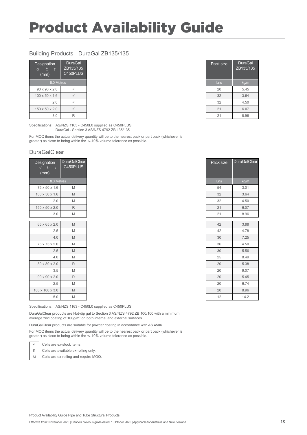#### Building Products - DuraGal ZB135/135

| Designation<br>$\overline{b}$<br>d<br>(mm) | <b>DuraGal</b><br>ZB135/135<br>C450PLUS |
|--------------------------------------------|-----------------------------------------|
| 8.0 Metres                                 |                                         |
| $90 \times 90 \times 2.0$                  | ✓                                       |
| $100 \times 50 \times 1.6$                 | ✓                                       |
| 2.0                                        | ✓                                       |
| 150 x 50 x 2.0                             | ✓                                       |
| 3.0                                        | R                                       |

Pack size | DuraGal ZB135/135 8.0 Metres Lns kg/m 2.0  $\sqrt{ }$  4.50

Pack size DuraGalClear

Specifications: AS/NZS 1163 - C450L0 supplied as C450PLUS. DuraGal - Section 3 AS/NZS 4792 ZB 135/135

For MOQ items the actual delivery quantity will be to the nearest pack or part pack (whichever is greater) as close to being within the +/-10% volume tolerance as possible.

#### **DuraGalClear**

| Designation<br>$d$ b<br>$\overline{t}$ | <b>DuraGalClear</b><br>C450PLUS |  |
|----------------------------------------|---------------------------------|--|
| (mm)                                   |                                 |  |
| 8.0 Metres                             |                                 |  |
| 75 x 50 x 1.6                          | M                               |  |
| $100 \times 50 \times 1.6$             | M                               |  |
| 2.0                                    | M                               |  |
| 150 x 50 x 2.0                         | $\mathsf R$                     |  |
| 3.0                                    | M                               |  |
| 65 x 65 x 2.0                          | M                               |  |
| 2.5                                    | M                               |  |
| 4.0                                    | M                               |  |
| 75 x 75 x 2.0                          | M                               |  |
| 2.5                                    | M                               |  |
| 4.0                                    | M                               |  |
| 89 x 89 x 2.0                          | $\mathsf{R}$                    |  |
| 3.5                                    | M                               |  |
| $90 \times 90 \times 2.0$              | $\mathsf{R}$                    |  |
| 2.5                                    | M                               |  |
| 100 x 100 x 3.0                        | M                               |  |
| 5.0                                    | M                               |  |

Specifications: AS/NZS 1163 - C450L0 supplied as C450PLUS.

DuraGalClear products are Hot-dip gal to Section 3 AS/NZS 4792 ZB 100/100 with a minimum average zinc coating of 100g/m $^{\rm 2}$  on both internal and external surfaces.

DuraGalClear products are suitable for powder coating in accordance with AS 4506.

For MOQ items the actual delivery quantity will be to the nearest pack or part pack (whichever is greater) as close to being within the +/-10% volume tolerance as possible.



R Cells are available ex-rolling only.

M Cells are ex-rolling and require MOQ.

| 100 x 50 x 1.6 | M           |
|----------------|-------------|
| 2.0            | M           |
| 150 x 50 x 2.0 | $\mathsf R$ |
| 3.0            | M           |
|                |             |
| 65 x 65 x 2.0  | M           |
| 2.5            | M           |
| 4.0            | M           |
| 75 x 75 x 2.0  | M           |
| 2.5            | M           |
| 4.0            | M           |
| 89 x 89 x 2.0  | $\mathsf R$ |
|                |             |

| M              |
|----------------|
|                |
| M              |
| M              |
| N <sub>A</sub> |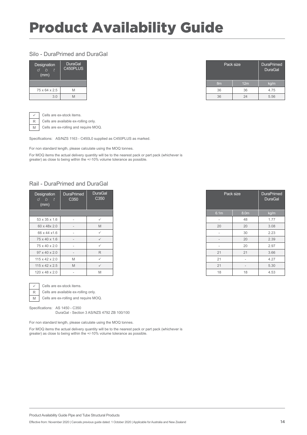#### Silo - DuraPrimed and DuraGal

| <b>Designation</b><br>h<br>(mm) | DuraGal<br>C450PLUS |  |
|---------------------------------|---------------------|--|
|                                 |                     |  |
| 75 x 64 x 2.5                   | NЛ                  |  |
| 3.0                             |                     |  |

| <b>DuraGal</b><br>C450PLUS |
|----------------------------|
|                            |
|                            |
|                            |

 $\checkmark$  Cells are ex-stock items.

R Cells are available ex-rolling only.

M Cells are ex-rolling and require MOQ.

Specifications: AS/NZS 1163 - C450L0 supplied as C450PLUS as marked.

For non standard length, please calculate using the MOQ tonnes.

For MOQ items the actual delivery quantity will be to the nearest pack or part pack (whichever is greater) as close to being within the +/-10% volume tolerance as possible.

#### Rail - DuraPrimed and DuraGal

| <b>DuraPrimed</b><br>Designation<br>C <sub>350</sub><br>d b<br>$\blacksquare$<br>(mm) |                          | <b>DuraGal</b><br>C <sub>350</sub> | Pack size                |                          |
|---------------------------------------------------------------------------------------|--------------------------|------------------------------------|--------------------------|--------------------------|
|                                                                                       |                          |                                    | 6.1m                     | 8.0 <sub>m</sub>         |
|                                                                                       | $\overline{\phantom{a}}$ | $\checkmark$                       | $\overline{\phantom{a}}$ | 48                       |
|                                                                                       | $\qquad \qquad =$        | M                                  | 20                       | 20                       |
| $\overline{\phantom{a}}$                                                              |                          | $\checkmark$                       | $\sim$                   | 30                       |
|                                                                                       | $\qquad \qquad$          | $\checkmark$                       | $\overline{\phantom{a}}$ | 20                       |
|                                                                                       | $\overline{\phantom{a}}$ | $\checkmark$                       | $\overline{\phantom{a}}$ | 20                       |
| $\qquad \qquad$                                                                       |                          | R                                  | 21                       | 21                       |
|                                                                                       | M                        | $\checkmark$                       | 21                       | $\overline{\phantom{a}}$ |
|                                                                                       | M                        | $\checkmark$                       | 21                       | $\overline{\phantom{a}}$ |
|                                                                                       | $\overline{\phantom{a}}$ | M                                  | 18                       | 18                       |



 $\sqrt{\phantom{a}}$  Cells are ex-stock items.

 $R$  Cells are available ex-rolling only.

M | Cells are ex-rolling and require MOQ.

Specifications: AS 1450 - C350

DuraGal - Section 3 AS/NZS 4792 ZB 100/100

For non standard length, please calculate using the MOQ tonnes.

| <b>Designation</b><br>$\mathfrak b$<br>d<br>(mm) | <b>DuraPrimed</b><br>C <sub>350</sub> | <b>DuraGal</b><br>C <sub>350</sub> |
|--------------------------------------------------|---------------------------------------|------------------------------------|
|                                                  |                                       |                                    |
| 53 x 35 x 1.6                                    | $\overline{\phantom{0}}$              | $\checkmark$                       |
| 60 x 48x 2.0                                     | $\overline{\phantom{a}}$              | M                                  |
| 66 x 44 x 1.6                                    | $\overline{\phantom{a}}$              | $\checkmark$                       |
| 75 x 40 x 1.6                                    | $\qquad \qquad -$                     | $\checkmark$                       |
| 75 x 40 x 2.0                                    | $\overline{\phantom{a}}$              | $\checkmark$                       |
| 97 x 40 x 2.0                                    |                                       | $\mathsf{R}$                       |
| 115 x 42 x 2.0                                   | M                                     | $\checkmark$                       |
| $115 \times 42 \times 2.5$                       | M                                     | $\checkmark$                       |
| 120 x 48 x 2.0                                   | $\overline{\phantom{a}}$              | M                                  |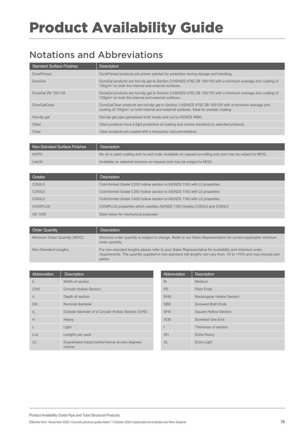### Notations and Abbreviations

| <b>Standard Surface Finishes</b> | <b>Description</b>                                                                                                                                                                                        |
|----------------------------------|-----------------------------------------------------------------------------------------------------------------------------------------------------------------------------------------------------------|
| <b>DuraPrimed</b>                | DuraPrimed products are primer painted for protection during storage and handling.                                                                                                                        |
| <b>DuraGal</b>                   | DuraGal products are hot-dip gal to Section 3 AS/NZS 4792 ZB 100/100 with a minimum average zinc coating of<br>$100q/m2$ on both the internal and external surfaces.                                      |
| DuraGal ZB 135/135               | DuraGal products are hot-dip gal to Section 3 AS/NZS 4792 ZB 135/135 with a minimum average zinc coating of<br>135q/m <sup>2</sup> on both the internal and external surfaces.                            |
| <b>DuraGalClear</b>              | DuraGalClear products are hot-dip gal to Section 3 AS/NZS 4792 ZB 100/100 with a minimum average zinc<br>coating of 100g/m <sup>2</sup> on both internal and external surfaces. Ideal for powder coating. |
| Hot-dip gal                      | Hot-dip gal pipe galvanized both inside and out to AS/NZS 4680.                                                                                                                                           |
| Oiled                            | Oiled products have a light protective oil coating and comes standard on selected products.                                                                                                               |
| Clear                            | Clear products are coated with a temporary rust preventative.                                                                                                                                             |

| Non-Standard Surface Finishes | <b>Description</b>                                                                                       |
|-------------------------------|----------------------------------------------------------------------------------------------------------|
| <b>NOPC</b>                   | No oil or paint coating and no end code. Available on request ex-rolling only and may be subject to MOQ. |
| LiteOil                       | Available on selected sections on request and may be subject to MOQ.                                     |

| Grades                          | <b>Description</b>                                                       |
|---------------------------------|--------------------------------------------------------------------------|
| C <sub>250</sub> L <sub>0</sub> | Cold-formed Grade C250 hollow section to AS/NZS 1163 with L0 properties  |
| C350L0                          | Cold-formed Grade C350 hollow section to AS/NZS 1163 with L0 properties  |
| C450L0                          | Cold-formed Grade C450 hollow section to AS/NZS 1163 with L0 properties  |
| C450PLUS                        | C450PLUS properties which satisfies AS/NZS 1163 Grades C350L0 and C450L0 |
| AS 1450                         | Steel tubes for mechanical purposes                                      |

| <b>Order Quantity</b>        | <b>Description</b>                                                                                                                                                                                                                 |
|------------------------------|------------------------------------------------------------------------------------------------------------------------------------------------------------------------------------------------------------------------------------|
| Minimum Order Quantity (MOQ) | Minimum order quantity is subject to change. Refer to our Sales Representative for current applicable minimum<br>order quantity.                                                                                                   |
| Non-Standard Lengths         | For non-standard lengths please refer to your Sales Representative for availability and minimum order<br>requirements. The quantity supplied in non-standard mill lengths can vary from -10 to +10% and may include part<br>packs. |

| Abbreviation   | <b>Description</b>                                       | Abbreviation | <b>Description</b>                |
|----------------|----------------------------------------------------------|--------------|-----------------------------------|
| b              | Width of section                                         | M            | <b>Medium</b>                     |
| <b>CHS</b>     | <b>Circular Hollow Section</b>                           | PE           | Plain Ends                        |
| d              | Depth of section                                         | <b>RHS</b>   | <b>Rectangular Hollow Section</b> |
| <b>DN</b>      | Nominal diameter                                         | <b>SBE</b>   | <b>Screwed Both Ends</b>          |
| d <sub>o</sub> | Outside diameter of a Circular Hollow Section (CHS)      | <b>SHS</b>   | <b>Square Hollow Section</b>      |
| H              | Heavy                                                    | <b>SOE</b>   | Screwed One End                   |
|                | Light                                                    | t            | Thickness of section              |
| $L$ ns         | Lengths per pack                                         | <b>XH</b>    | Extra Heavy                       |
| L <sub>0</sub> | Guaranteed impact performance at zero degrees<br>celcius | XL           | Extra Light                       |

| Abbreviation | <b>Description</b>                |
|--------------|-----------------------------------|
| M            | Medium                            |
| <b>PE</b>    | Plain Ends                        |
| <b>RHS</b>   | <b>Rectangular Hollow Section</b> |
| <b>SBE</b>   | <b>Screwed Both Ends</b>          |
| <b>SHS</b>   | <b>Square Hollow Section</b>      |
| <b>SOE</b>   | Screwed One End                   |
| t            | Thickness of section              |
| <b>XH</b>    | <b>Extra Heavy</b>                |
| <b>XL</b>    | Extra Light                       |